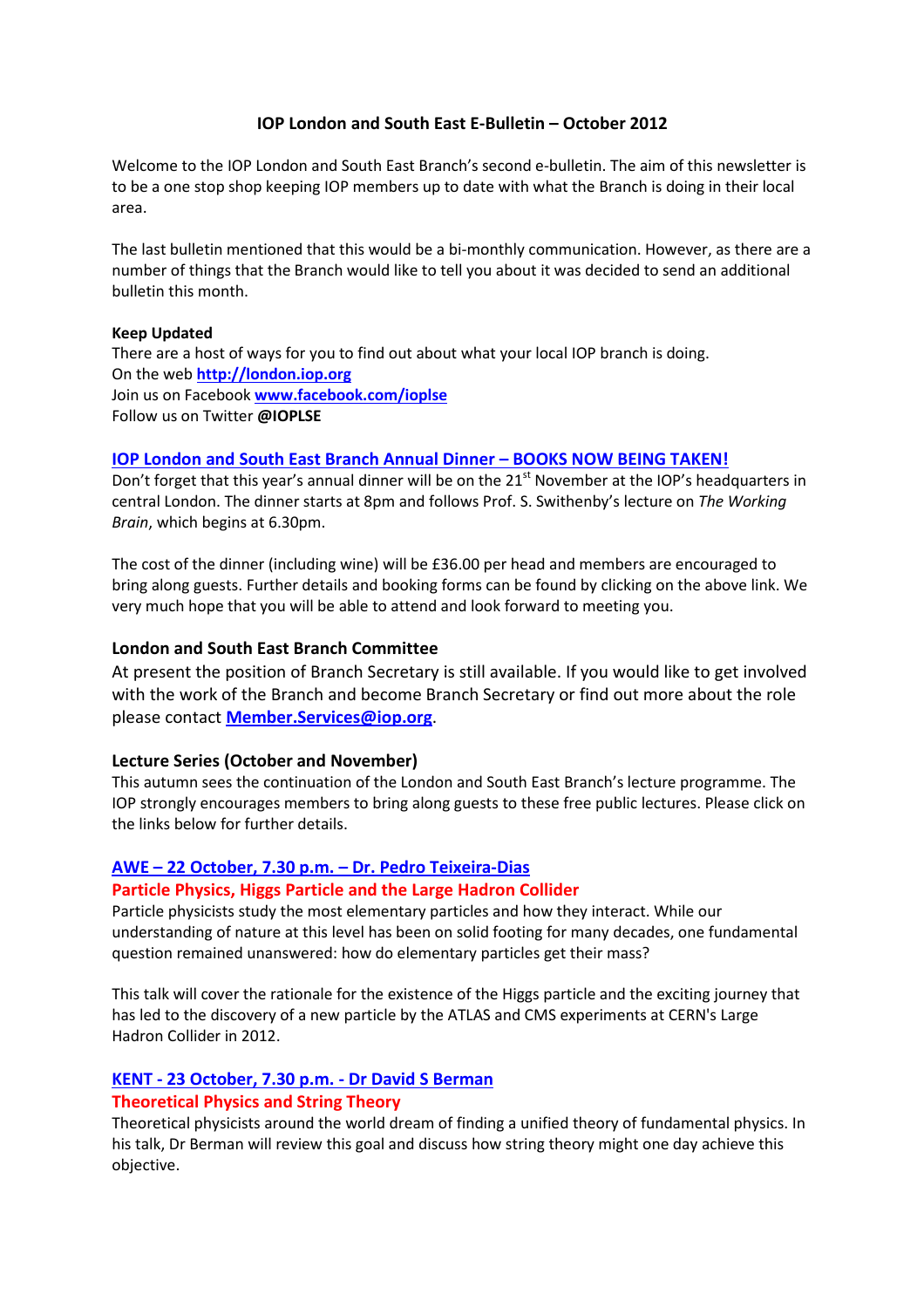# IOP London and South East E-Bulletin – October 2012

Welcome to the IOP London and South East Branch's second e-bulletin. The aim of this newsletter is to be a one stop shop keeping IOP members up to date with what the Branch is doing in their local area.

The last bulletin mentioned that this would be a bi-monthly communication. However, as there are a number of things that the Branch would like to tell you about it was decided to send an additional bulletin this month.

#### Keep Updated

There are a host of ways for you to find out about what your local IOP branch is doing. On the web http://london.iop.org Join us on Facebook www.facebook.com/ioplse Follow us on Twitter @IOPLSE

## IOP London and South East Branch Annual Dinner – BOOKS NOW BEING TAKEN!

Don't forget that this year's annual dinner will be on the 21<sup>st</sup> November at the IOP's headquarters in central London. The dinner starts at 8pm and follows Prof. S. Swithenby's lecture on The Working Brain, which begins at 6.30pm.

The cost of the dinner (including wine) will be £36.00 per head and members are encouraged to bring along guests. Further details and booking forms can be found by clicking on the above link. We very much hope that you will be able to attend and look forward to meeting you.

#### London and South East Branch Committee

At present the position of Branch Secretary is still available. If you would like to get involved with the work of the Branch and become Branch Secretary or find out more about the role please contact **Member.Services@iop.org**.

### Lecture Series (October and November)

This autumn sees the continuation of the London and South East Branch's lecture programme. The IOP strongly encourages members to bring along guests to these free public lectures. Please click on the links below for further details.

# AWE – 22 October, 7.30 p.m. – Dr. Pedro Teixeira-Dias

#### Particle Physics, Higgs Particle and the Large Hadron Collider

Particle physicists study the most elementary particles and how they interact. While our understanding of nature at this level has been on solid footing for many decades, one fundamental question remained unanswered: how do elementary particles get their mass?

This talk will cover the rationale for the existence of the Higgs particle and the exciting journey that has led to the discovery of a new particle by the ATLAS and CMS experiments at CERN's Large Hadron Collider in 2012.

## KENT - 23 October, 7.30 p.m. - Dr David S Berman

## Theoretical Physics and String Theory

Theoretical physicists around the world dream of finding a unified theory of fundamental physics. In his talk, Dr Berman will review this goal and discuss how string theory might one day achieve this objective.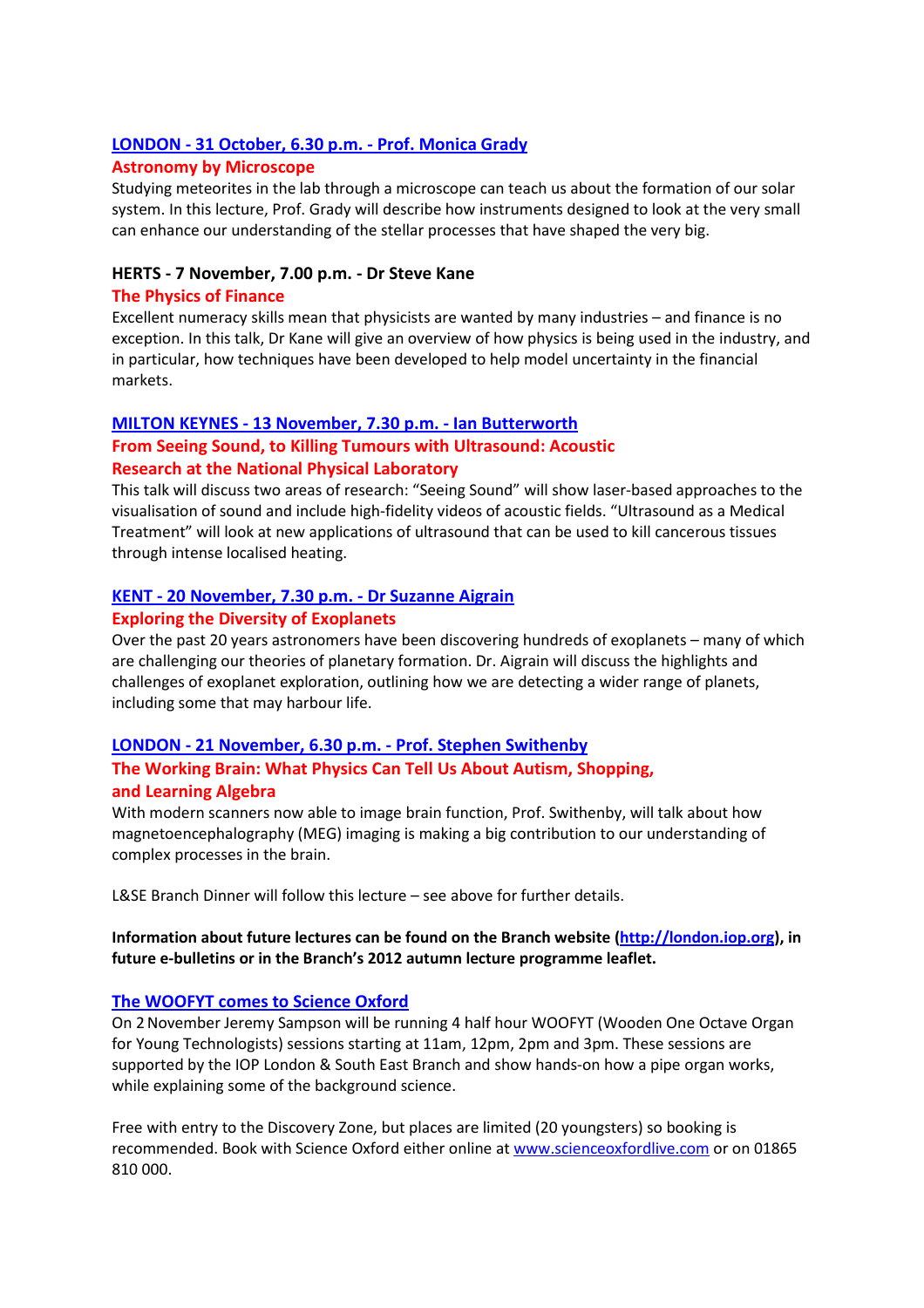## LONDON - 31 October, 6.30 p.m. - Prof. Monica Grady

## Astronomy by Microscope

Studying meteorites in the lab through a microscope can teach us about the formation of our solar system. In this lecture, Prof. Grady will describe how instruments designed to look at the very small can enhance our understanding of the stellar processes that have shaped the very big.

## HERTS - 7 November, 7.00 p.m. - Dr Steve Kane

## The Physics of Finance

Excellent numeracy skills mean that physicists are wanted by many industries – and finance is no exception. In this talk, Dr Kane will give an overview of how physics is being used in the industry, and in particular, how techniques have been developed to help model uncertainty in the financial markets.

## MILTON KEYNES - 13 November, 7.30 p.m. - Ian Butterworth

# From Seeing Sound, to Killing Tumours with Ultrasound: Acoustic Research at the National Physical Laboratory

This talk will discuss two areas of research: "Seeing Sound" will show laser-based approaches to the visualisation of sound and include high-fidelity videos of acoustic fields. "Ultrasound as a Medical Treatment" will look at new applications of ultrasound that can be used to kill cancerous tissues through intense localised heating.

## KENT - 20 November, 7.30 p.m. - Dr Suzanne Aigrain

## Exploring the Diversity of Exoplanets

Over the past 20 years astronomers have been discovering hundreds of exoplanets – many of which are challenging our theories of planetary formation. Dr. Aigrain will discuss the highlights and challenges of exoplanet exploration, outlining how we are detecting a wider range of planets, including some that may harbour life.

## LONDON - 21 November, 6.30 p.m. - Prof. Stephen Swithenby

# The Working Brain: What Physics Can Tell Us About Autism, Shopping, and Learning Algebra

With modern scanners now able to image brain function, Prof. Swithenby, will talk about how magnetoencephalography (MEG) imaging is making a big contribution to our understanding of complex processes in the brain.

L&SE Branch Dinner will follow this lecture – see above for further details.

# Information about future lectures can be found on the Branch website (http://london.iop.org), in future e-bulletins or in the Branch's 2012 autumn lecture programme leaflet.

# The WOOFYT comes to Science Oxford

On 2November Jeremy Sampson will be running 4 half hour WOOFYT (Wooden One Octave Organ for Young Technologists) sessions starting at 11am, 12pm, 2pm and 3pm. These sessions are supported by the IOP London & South East Branch and show hands-on how a pipe organ works, while explaining some of the background science.

Free with entry to the Discovery Zone, but places are limited (20 youngsters) so booking is recommended. Book with Science Oxford either online at www.scienceoxfordlive.com or on 01865 810 000.